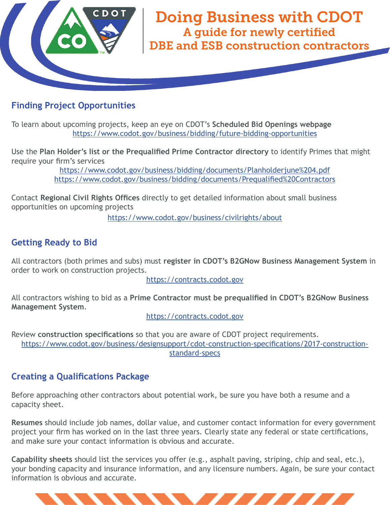

# **Finding Project Opportunities**

To learn about upcoming projects, keep an eye on CDOT's **Scheduled Bid Openings webpage** https://www.codot.gov/business/bidding/future-bidding-opportunities

Use the Plan Holder's list or the Prequalified Prime Contractor directory to identify Primes that might require your firm's services

> https://www.codot.gov/business/bidding/documents/Planholderjune%204.pdf https://www.codot.gov/business/bidding/documents/Prequalified%20Contractors

Contact **Regional Civil Rights Offices** directly to get detailed information about small business opportunities on upcoming projects

https://www.codot.gov/business/civilrights/about

## **Getting Ready to Bid**

All contractors (both primes and subs) must **register in CDOT's B2GNow Business Management System** in order to work on construction projects.

https://contracts.codot.gov

All contractors wishing to bid as a Prime Contractor must be prequalified in CDOT's B2GNow Business **Management System**.

https://contracts.codot.gov

Review **construction specifications** so that you are aware of CDOT project requirements. https://www.codot.gov/business/designsupport/cdot-construction-specifications/2017-constructionstandard-specs

## **Creating a Qualifications Package**

Before approaching other contractors about potential work, be sure you have both a resume and a capacity sheet.

**Resumes** should include job names, dollar value, and customer contact information for every government project your firm has worked on in the last three years. Clearly state any federal or state certifications, and make sure your contact information is obvious and accurate.

**Capability sheets** should list the services you offer (e.g., asphalt paving, striping, chip and seal, etc.), your bonding capacity and insurance information, and any licensure numbers. Again, be sure your contact information is obvious and accurate.